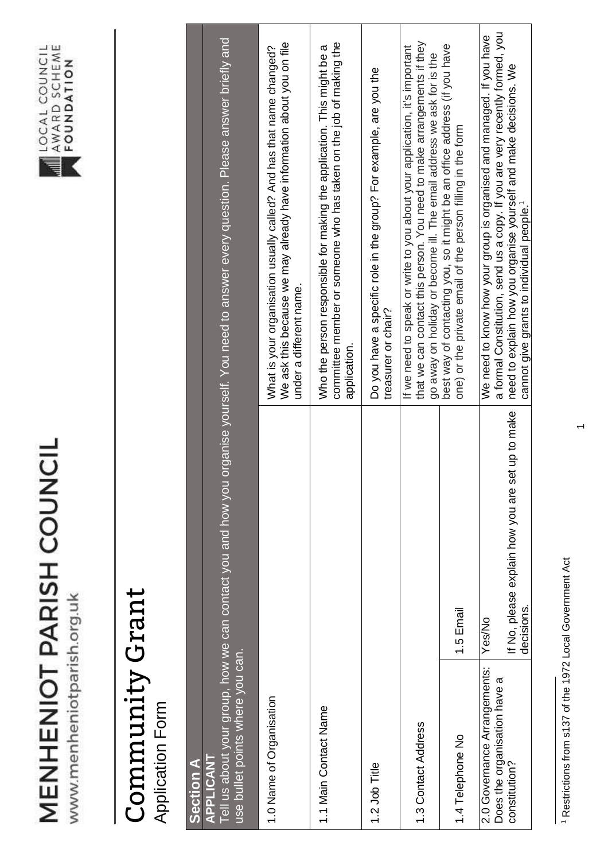## MENHENIOT PARISH COUNCIL

www.menheniotparish.org.uk



## Community Grant Community Grant

**Application Form** Application Form

| <b>Section A</b>                                             |                                                                   |                                                                                                                                                                                                                               |
|--------------------------------------------------------------|-------------------------------------------------------------------|-------------------------------------------------------------------------------------------------------------------------------------------------------------------------------------------------------------------------------|
| use bullet points where you can.<br>APPLICANT                |                                                                   | Tell us about your group, how we can contact you and how you organise yourself. You need to answer every question. Please answer briefly and                                                                                  |
| 1.0 Name of Organisation                                     |                                                                   | We ask this because we may already have information about you on file<br>What is your organisation usually called? And has that name changed?<br>under a different name.                                                      |
| 1.1 Main Contact Name                                        |                                                                   | committee member or someone who has taken on the job of making the<br>Who the person responsible for making the application. This might be a<br>application.                                                                  |
| 1.2 Job Title                                                |                                                                   | Do you have a specific role in the group? For example, are you the<br>treasurer or chair?                                                                                                                                     |
| 1.3 Contact Address                                          |                                                                   | that we can contact this person. You need to make arrangements if they<br>If we need to speak or write to you about your application, it's important<br>go away on holiday or become ill. The email address we ask for is the |
| 1.4 Telephone No                                             | 1.5 Email                                                         | best way of contacting you, so it might be an office address (if you have<br>one) or the private email of the person filling in the form                                                                                      |
| 2.0 Governance Arrangements:<br>Does the organisation have a | Yes/No                                                            | a formal Constitution, send us a copy. If you are very recently formed, you<br>We need to know how your group is organised and managed. If you have                                                                           |
| constitution?                                                | set up to make<br>If No, please explain how you are<br>decisions. | need to explain how you organise yourself and make decisions. We<br>cannot give grants to individual people. <sup>1</sup>                                                                                                     |

<sup>1</sup> Restrictions from s137 of the 1972 Local Government Act 1 Restrictions from s137 of the 1972 Local Government Act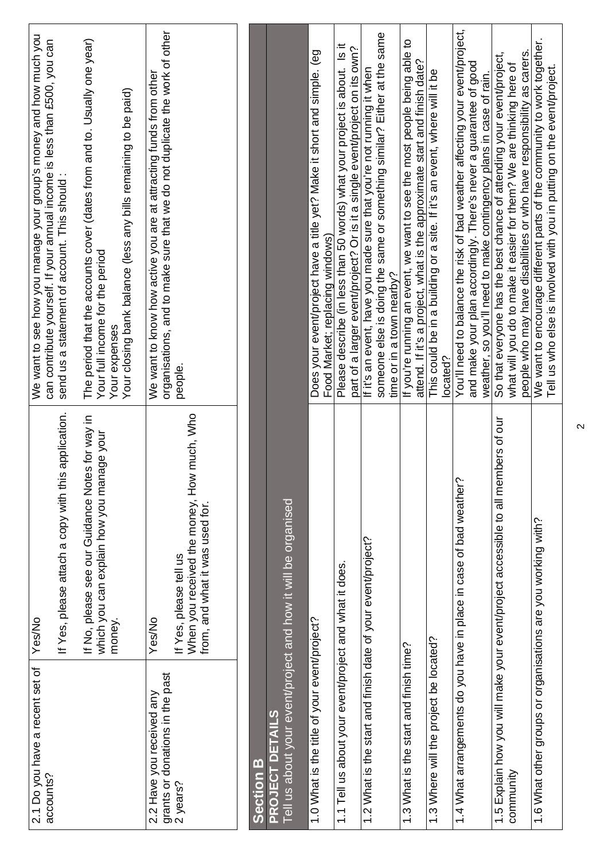| We want to encourage different parts of the community to work together.<br>Tell us who else is involved with you in putting on the event/project.        |                                                                                                         | 1.6 What other groups or organisations are you working with?             |
|----------------------------------------------------------------------------------------------------------------------------------------------------------|---------------------------------------------------------------------------------------------------------|--------------------------------------------------------------------------|
| people who may have disabilities or who have responsibility as carers.                                                                                   |                                                                                                         |                                                                          |
| So that everyone has the best chance of attending your event/project,<br>what will you do to make it easier for them? We are thinking here of            | 1.5 Explain how you will make your event/project accessible to all members of our                       | community                                                                |
| and make your plan accordingly. There's never a guarantee of good<br>weather, so you'll need to make contingency plans in case of rain.                  |                                                                                                         |                                                                          |
| You'll need to balance the risk of bad weather affecting your event/project,                                                                             | 1.4 What arrangements do you have in place in case of bad weather?                                      |                                                                          |
| This could be in a building or a site. If it's an event, where will it be<br>located?                                                                    |                                                                                                         | 1.3 Where will the project be located?                                   |
| attend. If it's a project, what is the approximate start and finish date?                                                                                |                                                                                                         |                                                                          |
| If you're running an event, we want to see the most people being able to<br>time or in a town nearby?                                                    |                                                                                                         | 1.3 What is the start and finish time?                                   |
| someone else is doing the same or something similar? Either at the same                                                                                  |                                                                                                         |                                                                          |
| If it's an event, have you made sure that you're not running it when                                                                                     |                                                                                                         | 1.2 What is the start and finish date of your event/project?             |
| Please describe (in less than 50 words) what your project is about. Is it<br>part of a larger event/project? Or is it a single event/project on its own? |                                                                                                         | 1.1 Tell us about your event/project and what it does.                   |
| Food Market; replacing windows)                                                                                                                          |                                                                                                         |                                                                          |
| Does your event/project have a title yet? Make it short and simple. (eg                                                                                  |                                                                                                         | 1.0 What is the title of your event/project?                             |
|                                                                                                                                                          | Tell us about your event/project and how it will be organised                                           | PROJECT DETAILS                                                          |
|                                                                                                                                                          |                                                                                                         | <b>Section B</b>                                                         |
|                                                                                                                                                          |                                                                                                         |                                                                          |
| people.                                                                                                                                                  | When you received the money, How much, Who<br>from, and what it was used for.<br>If Yes, please tell us |                                                                          |
| organisations, and to make sure that we do not duplicate the work of other<br>We want to know how active you are at attracting funds from other          | Yes/No                                                                                                  | grants or donations in the past<br>2 years?<br>2.2 Have you received any |
| Your closing bank balance (less any bills remaining to be paid)<br>Your expenses                                                                         | money.                                                                                                  |                                                                          |
| The period that the accounts cover (dates from and to. Usually one year)<br>Your full income for the period                                              | If No, please see our Guidance Notes for way in<br>which you can explain how you manage your            |                                                                          |
| send us a statement of account. This should:                                                                                                             | If Yes, please attach a copy with this application.                                                     |                                                                          |
| We want to see how you manage your group's money and how much you<br>can contribute yourself. If your annual income is less than £500, you can           | Yes/No                                                                                                  | 2.1 Do you have a recent set of<br>accounts?                             |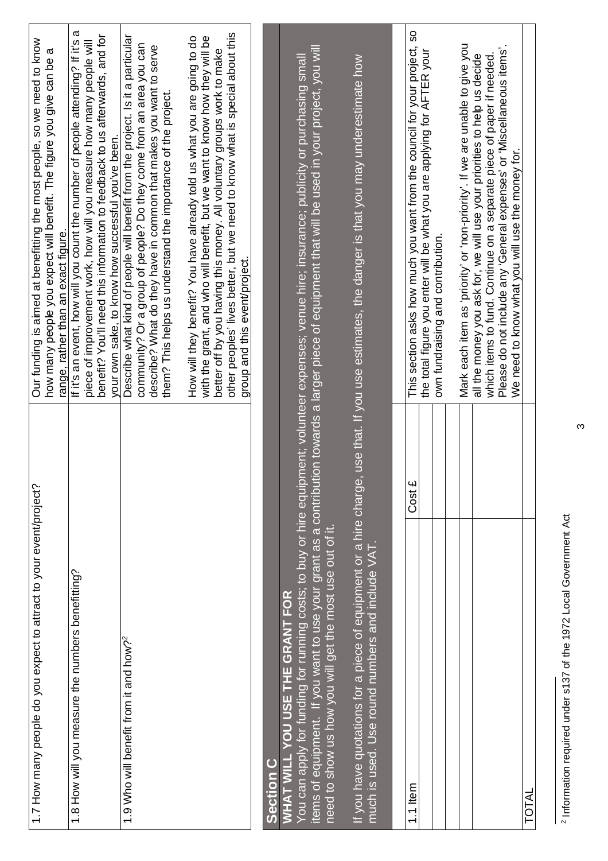| 1.7 How many people do you expect to attract to your event/project?                                                   |        | Our funding is aimed at benefitting the most people, so we need to know<br>how many people you expect will benefit. The figure you give can be<br>range, rather than an exact figure.                                                                                                                                                            |
|-----------------------------------------------------------------------------------------------------------------------|--------|--------------------------------------------------------------------------------------------------------------------------------------------------------------------------------------------------------------------------------------------------------------------------------------------------------------------------------------------------|
| 1.8 How will you measure the numbers benefitting?                                                                     |        | ω<br>benefit? You'll need this information to feedback to us afterwards, and for<br>If it's an event, how will you count the number of people attending? If it's<br>piece of improvement work, how will you measure how many people will<br>your own sake, to know how successful you've been.                                                   |
| 1.9 Who will benefit from it and how?                                                                                 |        | Describe what kind of people will benefit from the project. Is it a particular<br>community? Or a group of people? Do they come from an area you can<br>describe? What do they have in common that makes you want to serve<br>them? This helps us understand the importance of the project.                                                      |
|                                                                                                                       |        | other peoples' lives better, but we need to know what is special about this<br>with the grant, and who will benefit, but we want to know how they will be<br>How will they benefit? You have already told us what you are going to do<br>better off by you having this money. All voluntary groups work to make<br>group and this event/project. |
| <b>Section C</b>                                                                                                      |        |                                                                                                                                                                                                                                                                                                                                                  |
| need to show us how you will get the most use out of it,<br><b>WHAT WILL YOU USE THE GRANT FOR</b>                    |        | items of equipment. If you want to use your grant as a contribution towards a larger piece of equipment that will be used in your project, you will<br>You can apply for funding for running costs; to buy or hire equipment; volunteer expenses; venue hire; insurance; publicity or purchasing small                                           |
| If you have quotations for a piece of equipment or a hire charge,<br>much is used. Use round numbers and include VAT. |        | use that. If you use estimates, the danger is that you may underestimate how                                                                                                                                                                                                                                                                     |
|                                                                                                                       |        |                                                                                                                                                                                                                                                                                                                                                  |
| 1.1 Item                                                                                                              | Cost £ | This section asks how much you want from the council for your project, so                                                                                                                                                                                                                                                                        |
|                                                                                                                       |        | the total figure you enter will be what you are applying for AFTER your<br>own fundraising and contribution.                                                                                                                                                                                                                                     |
|                                                                                                                       |        |                                                                                                                                                                                                                                                                                                                                                  |
|                                                                                                                       |        | Mark each item as 'priority' or 'non-priority'. If we are unable to give you                                                                                                                                                                                                                                                                     |
|                                                                                                                       |        | Please do not include any 'General expenses' or 'Miscellaneous items'.<br>which items to fund. Continue on a separate piece of paper if needed.<br>all the money you ask for, we will use your priorities to help us decide<br>We need to know what you will use the money for.                                                                  |

<sup>2</sup> Information required under s137 of the 1972 Local Government Act 2 Information required under s137 of the 1972 Local Government Act

TOTAL